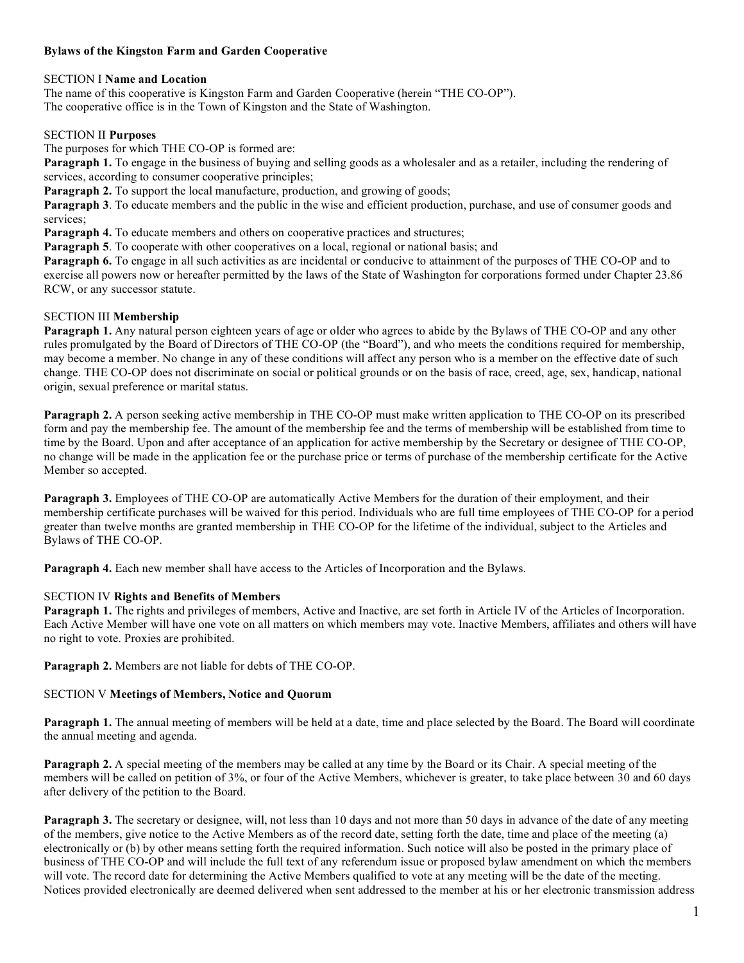# **Bylaws of the Kingston Farm and Garden Cooperative**

### SECTION I **Name and Location**

The name of this cooperative is Kingston Farm and Garden Cooperative (herein "THE CO-OP"). The cooperative office is in the Town of Kingston and the State of Washington.

#### SECTION II **Purposes**

The purposes for which THE CO-OP is formed are:

**Paragraph 1.** To engage in the business of buying and selling goods as a wholesaler and as a retailer, including the rendering of services, according to consumer cooperative principles;

**Paragraph 2.** To support the local manufacture, production, and growing of goods;

**Paragraph 3**. To educate members and the public in the wise and efficient production, purchase, and use of consumer goods and services;

**Paragraph 4.** To educate members and others on cooperative practices and structures;

**Paragraph 5**. To cooperate with other cooperatives on a local, regional or national basis; and

**Paragraph 6.** To engage in all such activities as are incidental or conducive to attainment of the purposes of THE CO-OP and to exercise all powers now or hereafter permitted by the laws of the State of Washington for corporations formed under Chapter 23.86 RCW, or any successor statute.

## SECTION III **Membership**

**Paragraph 1.** Any natural person eighteen years of age or older who agrees to abide by the Bylaws of THE CO-OP and any other rules promulgated by the Board of Directors of THE CO-OP (the "Board"), and who meets the conditions required for membership, may become a member. No change in any of these conditions will affect any person who is a member on the effective date of such change. THE CO-OP does not discriminate on social or political grounds or on the basis of race, creed, age, sex, handicap, national origin, sexual preference or marital status.

**Paragraph 2.** A person seeking active membership in THE CO-OP must make written application to THE CO-OP on its prescribed form and pay the membership fee. The amount of the membership fee and the terms of membership will be established from time to time by the Board. Upon and after acceptance of an application for active membership by the Secretary or designee of THE CO-OP, no change will be made in the application fee or the purchase price or terms of purchase of the membership certificate for the Active Member so accepted.

**Paragraph 3.** Employees of THE CO-OP are automatically Active Members for the duration of their employment, and their membership certificate purchases will be waived for this period. Individuals who are full time employees of THE CO-OP for a period greater than twelve months are granted membership in THE CO-OP for the lifetime of the individual, subject to the Articles and Bylaws of THE CO-OP.

**Paragraph 4.** Each new member shall have access to the Articles of Incorporation and the Bylaws.

### SECTION IV **Rights and Benefits of Members**

**Paragraph 1.** The rights and privileges of members, Active and Inactive, are set forth in Article IV of the Articles of Incorporation. Each Active Member will have one vote on all matters on which members may vote. Inactive Members, affiliates and others will have no right to vote. Proxies are prohibited.

**Paragraph 2.** Members are not liable for debts of THE CO-OP.

### SECTION V **Meetings of Members, Notice and Quorum**

**Paragraph 1.** The annual meeting of members will be held at a date, time and place selected by the Board. The Board will coordinate the annual meeting and agenda.

**Paragraph 2.** A special meeting of the members may be called at any time by the Board or its Chair. A special meeting of the members will be called on petition of 3%, or four of the Active Members, whichever is greater, to take place between 30 and 60 days after delivery of the petition to the Board.

**Paragraph 3.** The secretary or designee, will, not less than 10 days and not more than 50 days in advance of the date of any meeting of the members, give notice to the Active Members as of the record date, setting forth the date, time and place of the meeting (a) electronically or (b) by other means setting forth the required information. Such notice will also be posted in the primary place of business of THE CO-OP and will include the full text of any referendum issue or proposed bylaw amendment on which the members will vote. The record date for determining the Active Members qualified to vote at any meeting will be the date of the meeting. Notices provided electronically are deemed delivered when sent addressed to the member at his or her electronic transmission address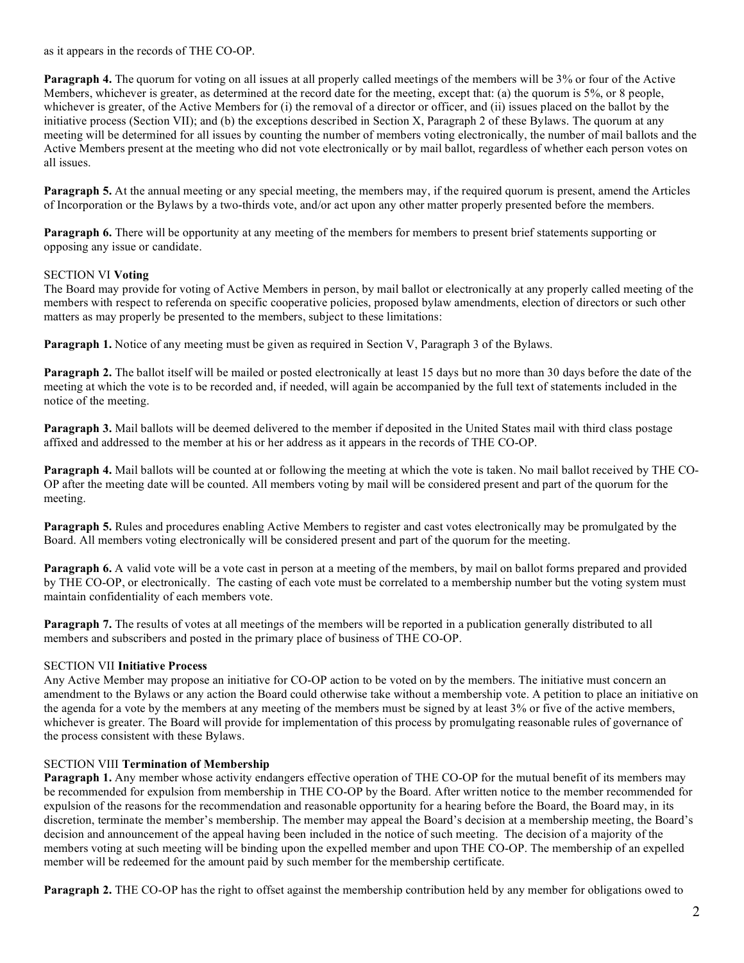as it appears in the records of THE CO-OP.

**Paragraph 4.** The quorum for voting on all issues at all properly called meetings of the members will be 3% or four of the Active Members, whichever is greater, as determined at the record date for the meeting, except that: (a) the quorum is 5%, or 8 people, whichever is greater, of the Active Members for (i) the removal of a director or officer, and (ii) issues placed on the ballot by the initiative process (Section VII); and (b) the exceptions described in Section X, Paragraph 2 of these Bylaws. The quorum at any meeting will be determined for all issues by counting the number of members voting electronically, the number of mail ballots and the Active Members present at the meeting who did not vote electronically or by mail ballot, regardless of whether each person votes on all issues.

**Paragraph 5.** At the annual meeting or any special meeting, the members may, if the required quorum is present, amend the Articles of Incorporation or the Bylaws by a two-thirds vote, and/or act upon any other matter properly presented before the members.

**Paragraph 6.** There will be opportunity at any meeting of the members for members to present brief statements supporting or opposing any issue or candidate.

## SECTION VI **Voting**

The Board may provide for voting of Active Members in person, by mail ballot or electronically at any properly called meeting of the members with respect to referenda on specific cooperative policies, proposed bylaw amendments, election of directors or such other matters as may properly be presented to the members, subject to these limitations:

**Paragraph 1.** Notice of any meeting must be given as required in Section V, Paragraph 3 of the Bylaws.

**Paragraph 2.** The ballot itself will be mailed or posted electronically at least 15 days but no more than 30 days before the date of the meeting at which the vote is to be recorded and, if needed, will again be accompanied by the full text of statements included in the notice of the meeting.

**Paragraph 3.** Mail ballots will be deemed delivered to the member if deposited in the United States mail with third class postage affixed and addressed to the member at his or her address as it appears in the records of THE CO-OP.

**Paragraph 4.** Mail ballots will be counted at or following the meeting at which the vote is taken. No mail ballot received by THE CO-OP after the meeting date will be counted. All members voting by mail will be considered present and part of the quorum for the meeting.

**Paragraph 5.** Rules and procedures enabling Active Members to register and cast votes electronically may be promulgated by the Board. All members voting electronically will be considered present and part of the quorum for the meeting.

**Paragraph 6.** A valid vote will be a vote cast in person at a meeting of the members, by mail on ballot forms prepared and provided by THE CO-OP, or electronically. The casting of each vote must be correlated to a membership number but the voting system must maintain confidentiality of each members vote.

**Paragraph 7.** The results of votes at all meetings of the members will be reported in a publication generally distributed to all members and subscribers and posted in the primary place of business of THE CO-OP.

### SECTION VII **Initiative Process**

Any Active Member may propose an initiative for CO-OP action to be voted on by the members. The initiative must concern an amendment to the Bylaws or any action the Board could otherwise take without a membership vote. A petition to place an initiative on the agenda for a vote by the members at any meeting of the members must be signed by at least 3% or five of the active members, whichever is greater. The Board will provide for implementation of this process by promulgating reasonable rules of governance of the process consistent with these Bylaws.

### SECTION VIII **Termination of Membership**

**Paragraph 1.** Any member whose activity endangers effective operation of THE CO-OP for the mutual benefit of its members may be recommended for expulsion from membership in THE CO-OP by the Board. After written notice to the member recommended for expulsion of the reasons for the recommendation and reasonable opportunity for a hearing before the Board, the Board may, in its discretion, terminate the member's membership. The member may appeal the Board's decision at a membership meeting, the Board's decision and announcement of the appeal having been included in the notice of such meeting. The decision of a majority of the members voting at such meeting will be binding upon the expelled member and upon THE CO-OP. The membership of an expelled member will be redeemed for the amount paid by such member for the membership certificate.

**Paragraph 2.** THE CO-OP has the right to offset against the membership contribution held by any member for obligations owed to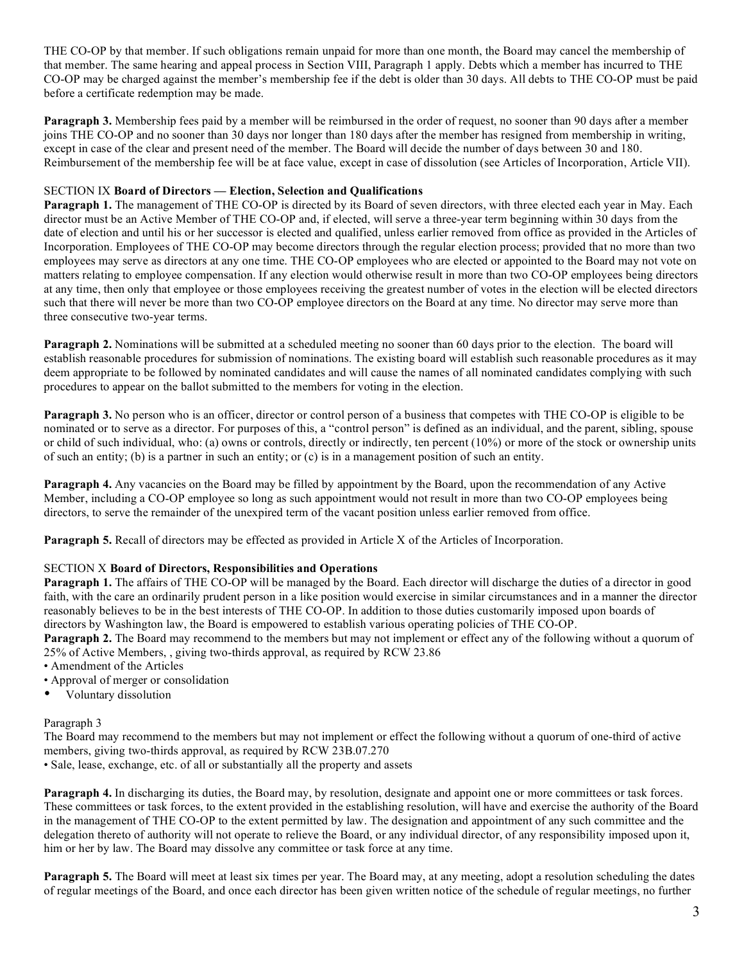THE CO-OP by that member. If such obligations remain unpaid for more than one month, the Board may cancel the membership of that member. The same hearing and appeal process in Section VIII, Paragraph 1 apply. Debts which a member has incurred to THE CO-OP may be charged against the member's membership fee if the debt is older than 30 days. All debts to THE CO-OP must be paid before a certificate redemption may be made.

**Paragraph 3.** Membership fees paid by a member will be reimbursed in the order of request, no sooner than 90 days after a member joins THE CO-OP and no sooner than 30 days nor longer than 180 days after the member has resigned from membership in writing, except in case of the clear and present need of the member. The Board will decide the number of days between 30 and 180. Reimbursement of the membership fee will be at face value, except in case of dissolution (see Articles of Incorporation, Article VII).

#### SECTION IX **Board of Directors — Election, Selection and Qualifications**

**Paragraph 1.** The management of THE CO-OP is directed by its Board of seven directors, with three elected each year in May. Each director must be an Active Member of THE CO-OP and, if elected, will serve a three-year term beginning within 30 days from the date of election and until his or her successor is elected and qualified, unless earlier removed from office as provided in the Articles of Incorporation. Employees of THE CO-OP may become directors through the regular election process; provided that no more than two employees may serve as directors at any one time. THE CO-OP employees who are elected or appointed to the Board may not vote on matters relating to employee compensation. If any election would otherwise result in more than two CO-OP employees being directors at any time, then only that employee or those employees receiving the greatest number of votes in the election will be elected directors such that there will never be more than two CO-OP employee directors on the Board at any time. No director may serve more than three consecutive two-year terms.

**Paragraph 2.** Nominations will be submitted at a scheduled meeting no sooner than 60 days prior to the election. The board will establish reasonable procedures for submission of nominations. The existing board will establish such reasonable procedures as it may deem appropriate to be followed by nominated candidates and will cause the names of all nominated candidates complying with such procedures to appear on the ballot submitted to the members for voting in the election.

**Paragraph 3.** No person who is an officer, director or control person of a business that competes with THE CO-OP is eligible to be nominated or to serve as a director. For purposes of this, a "control person" is defined as an individual, and the parent, sibling, spouse or child of such individual, who: (a) owns or controls, directly or indirectly, ten percent (10%) or more of the stock or ownership units of such an entity; (b) is a partner in such an entity; or (c) is in a management position of such an entity.

**Paragraph 4.** Any vacancies on the Board may be filled by appointment by the Board, upon the recommendation of any Active Member, including a CO-OP employee so long as such appointment would not result in more than two CO-OP employees being directors, to serve the remainder of the unexpired term of the vacant position unless earlier removed from office.

**Paragraph 5.** Recall of directors may be effected as provided in Article X of the Articles of Incorporation.

### SECTION X **Board of Directors, Responsibilities and Operations**

**Paragraph 1.** The affairs of THE CO-OP will be managed by the Board. Each director will discharge the duties of a director in good faith, with the care an ordinarily prudent person in a like position would exercise in similar circumstances and in a manner the director reasonably believes to be in the best interests of THE CO-OP. In addition to those duties customarily imposed upon boards of directors by Washington law, the Board is empowered to establish various operating policies of THE CO-OP.

**Paragraph 2.** The Board may recommend to the members but may not implement or effect any of the following without a quorum of 25% of Active Members, , giving two-thirds approval, as required by RCW 23.86

- Amendment of the Articles
- Approval of merger or consolidation
- Voluntary dissolution

### Paragraph 3

The Board may recommend to the members but may not implement or effect the following without a quorum of one-third of active members, giving two-thirds approval, as required by RCW 23B.07.270

• Sale, lease, exchange, etc. of all or substantially all the property and assets

**Paragraph 4.** In discharging its duties, the Board may, by resolution, designate and appoint one or more committees or task forces. These committees or task forces, to the extent provided in the establishing resolution, will have and exercise the authority of the Board in the management of THE CO-OP to the extent permitted by law. The designation and appointment of any such committee and the delegation thereto of authority will not operate to relieve the Board, or any individual director, of any responsibility imposed upon it, him or her by law. The Board may dissolve any committee or task force at any time.

**Paragraph 5.** The Board will meet at least six times per year. The Board may, at any meeting, adopt a resolution scheduling the dates of regular meetings of the Board, and once each director has been given written notice of the schedule of regular meetings, no further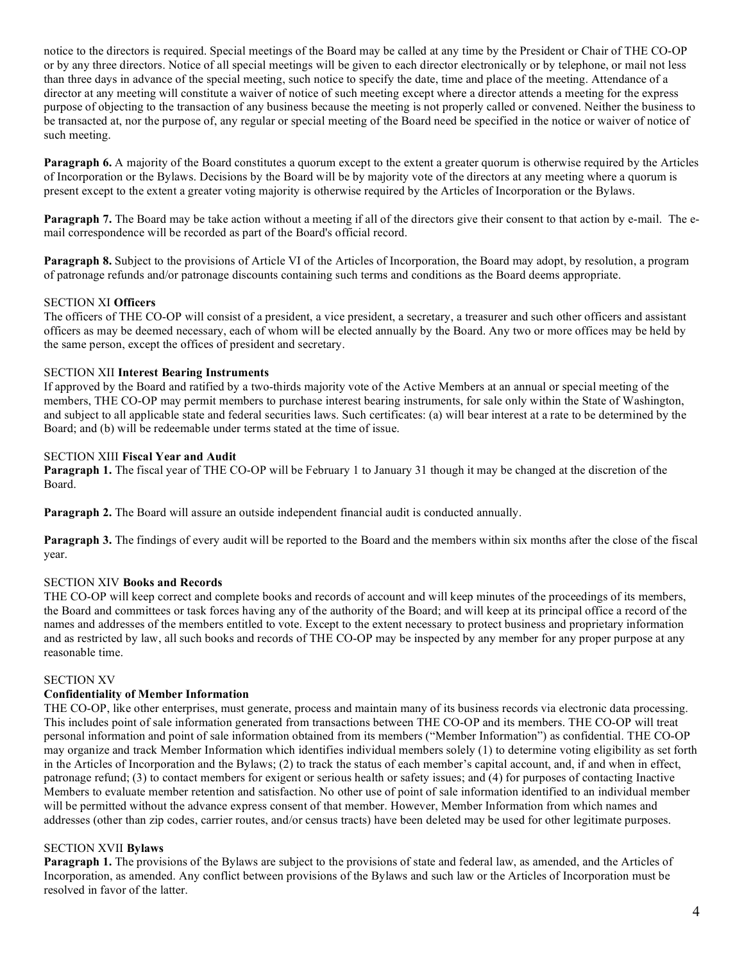notice to the directors is required. Special meetings of the Board may be called at any time by the President or Chair of THE CO-OP or by any three directors. Notice of all special meetings will be given to each director electronically or by telephone, or mail not less than three days in advance of the special meeting, such notice to specify the date, time and place of the meeting. Attendance of a director at any meeting will constitute a waiver of notice of such meeting except where a director attends a meeting for the express purpose of objecting to the transaction of any business because the meeting is not properly called or convened. Neither the business to be transacted at, nor the purpose of, any regular or special meeting of the Board need be specified in the notice or waiver of notice of such meeting.

**Paragraph 6.** A majority of the Board constitutes a quorum except to the extent a greater quorum is otherwise required by the Articles of Incorporation or the Bylaws. Decisions by the Board will be by majority vote of the directors at any meeting where a quorum is present except to the extent a greater voting majority is otherwise required by the Articles of Incorporation or the Bylaws.

**Paragraph** 7. The Board may be take action without a meeting if all of the directors give their consent to that action by e-mail. The email correspondence will be recorded as part of the Board's official record.

**Paragraph 8.** Subject to the provisions of Article VI of the Articles of Incorporation, the Board may adopt, by resolution, a program of patronage refunds and/or patronage discounts containing such terms and conditions as the Board deems appropriate.

## SECTION XI **Officers**

The officers of THE CO-OP will consist of a president, a vice president, a secretary, a treasurer and such other officers and assistant officers as may be deemed necessary, each of whom will be elected annually by the Board. Any two or more offices may be held by the same person, except the offices of president and secretary.

#### SECTION XII **Interest Bearing Instruments**

If approved by the Board and ratified by a two-thirds majority vote of the Active Members at an annual or special meeting of the members, THE CO-OP may permit members to purchase interest bearing instruments, for sale only within the State of Washington, and subject to all applicable state and federal securities laws. Such certificates: (a) will bear interest at a rate to be determined by the Board; and (b) will be redeemable under terms stated at the time of issue.

#### SECTION XIII **Fiscal Year and Audit**

**Paragraph 1.** The fiscal year of THE CO-OP will be February 1 to January 31 though it may be changed at the discretion of the Board.

**Paragraph 2.** The Board will assure an outside independent financial audit is conducted annually.

**Paragraph 3.** The findings of every audit will be reported to the Board and the members within six months after the close of the fiscal year.

### SECTION XIV **Books and Records**

THE CO-OP will keep correct and complete books and records of account and will keep minutes of the proceedings of its members, the Board and committees or task forces having any of the authority of the Board; and will keep at its principal office a record of the names and addresses of the members entitled to vote. Except to the extent necessary to protect business and proprietary information and as restricted by law, all such books and records of THE CO-OP may be inspected by any member for any proper purpose at any reasonable time.

#### SECTION XV

#### **Confidentiality of Member Information**

THE CO-OP, like other enterprises, must generate, process and maintain many of its business records via electronic data processing. This includes point of sale information generated from transactions between THE CO-OP and its members. THE CO-OP will treat personal information and point of sale information obtained from its members ("Member Information") as confidential. THE CO-OP may organize and track Member Information which identifies individual members solely (1) to determine voting eligibility as set forth in the Articles of Incorporation and the Bylaws; (2) to track the status of each member's capital account, and, if and when in effect, patronage refund; (3) to contact members for exigent or serious health or safety issues; and (4) for purposes of contacting Inactive Members to evaluate member retention and satisfaction. No other use of point of sale information identified to an individual member will be permitted without the advance express consent of that member. However, Member Information from which names and addresses (other than zip codes, carrier routes, and/or census tracts) have been deleted may be used for other legitimate purposes.

#### SECTION XVII **Bylaws**

**Paragraph 1.** The provisions of the Bylaws are subject to the provisions of state and federal law, as amended, and the Articles of Incorporation, as amended. Any conflict between provisions of the Bylaws and such law or the Articles of Incorporation must be resolved in favor of the latter.